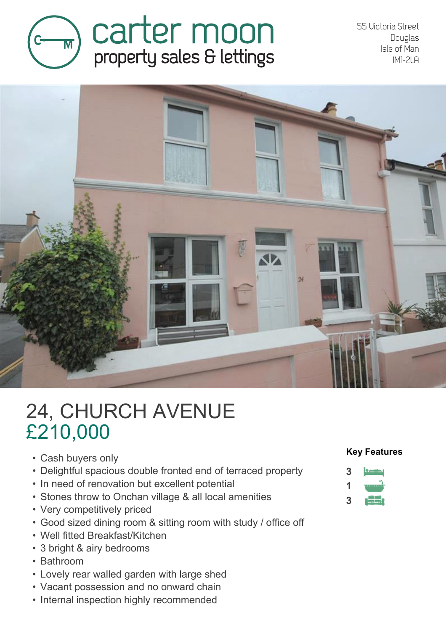

# Carter moon

55 Victoria Street Douglas Isle of Man IM1-2LA



## 24, CHURCH AVENUE £210,000

- Cash buyers only
- Delightful spacious double fronted end of terraced property
- In need of renovation but excellent potential
- Stones throw to Onchan village & all local amenities
- Very competitively priced
- Good sized dining room & sitting room with study / office off
- Well fitted Breakfast/Kitchen
- 3 bright & airy bedrooms
- Bathroom
- Lovely rear walled garden with large shed
- Vacant possession and no onward chain
- Internal inspection highly recommended

### **Key Features**

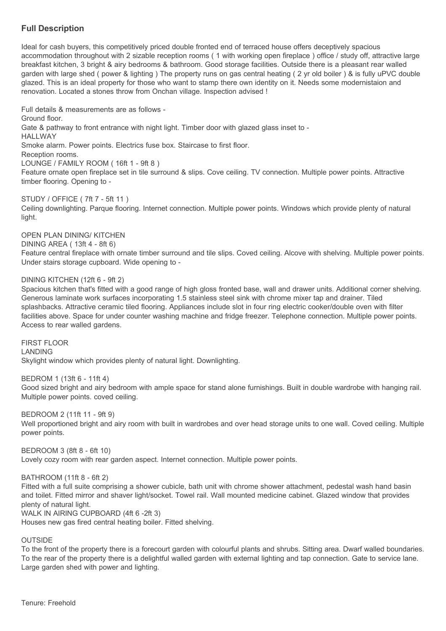#### **Full Description**

Ideal for cash buyers, this competitively priced double fronted end of terraced house offers deceptively spacious accommodation throughout with 2 sizable reception rooms ( 1 with working open fireplace ) office / study off, attractive large breakfast kitchen, 3 bright & airy bedrooms & bathroom. Good storage facilities. Outside there is a pleasant rear walled garden with large shed ( power & lighting ) The property runs on gas central heating ( 2 yr old boiler ) & is fully uPVC double glazed. This is an ideal property for those who want to stamp there own identity on it. Needs some modernistaion and renovation. Located a stones throw from Onchan village. Inspection advised !

Full details & measurements are as follows - Ground floor. Gate & pathway to front entrance with night light. Timber door with glazed glass inset to - HALLWAY Smoke alarm. Power points. Electrics fuse box. Staircase to first floor. Reception rooms. LOUNGE / FAMILY ROOM ( 16ft 1 - 9ft 8 ) Feature ornate open fireplace set in tile surround & slips. Cove ceiling. TV connection. Multiple power points. Attractive timber flooring. Opening to -

STUDY / OFFICE ( 7ft 7 - 5ft 11 ) Ceiling downlighting. Parque flooring. Internet connection. Multiple power points. Windows which provide plenty of natural light.

DINING AREA ( 13ft 4 - 8ft 6) Feature central fireplace with ornate timber surround and tile slips. Coved ceiling. Alcove with shelving. Multiple power points. Under stairs storage cupboard. Wide opening to -

#### DINING KITCHEN (12ft 6 - 9ft 2)

OPEN PLAN DINING/ KITCHEN

Spacious kitchen that's fitted with a good range of high gloss fronted base, wall and drawer units. Additional corner shelving. Generous laminate work surfaces incorporating 1.5 stainless steel sink with chrome mixer tap and drainer. Tiled splashbacks. Attractive ceramic tiled flooring. Appliances include slot in four ring electric cooker/double oven with filter facilities above. Space for under counter washing machine and fridge freezer. Telephone connection. Multiple power points. Access to rear walled gardens.

FIRST FLOOR LANDING Skylight window which provides plenty of natural light. Downlighting.

BEDROM 1 (13ft 6 - 11ft 4)

Good sized bright and airy bedroom with ample space for stand alone furnishings. Built in double wardrobe with hanging rail. Multiple power points. coved ceiling.

BEDROOM 2 (11ft 11 - 9ft 9)

Well proportioned bright and airy room with built in wardrobes and over head storage units to one wall. Coved ceiling. Multiple power points.

BEDROOM 3 (8ft 8 - 6ft 10) Lovely cozy room with rear garden aspect. Internet connection. Multiple power points.

BATHROOM (11ft 8 - 6ft 2)

Fitted with a full suite comprising a shower cubicle, bath unit with chrome shower attachment, pedestal wash hand basin and toilet. Fitted mirror and shaver light/socket. Towel rail. Wall mounted medicine cabinet. Glazed window that provides plenty of natural light.

WALK IN AIRING CUPBOARD (4ft 6-2ft 3)

Houses new gas fired central heating boiler. Fitted shelving.

#### OUTSIDE

To the front of the property there is a forecourt garden with colourful plants and shrubs. Sitting area. Dwarf walled boundaries. To the rear of the property there is a delightful walled garden with external lighting and tap connection. Gate to service lane. Large garden shed with power and lighting.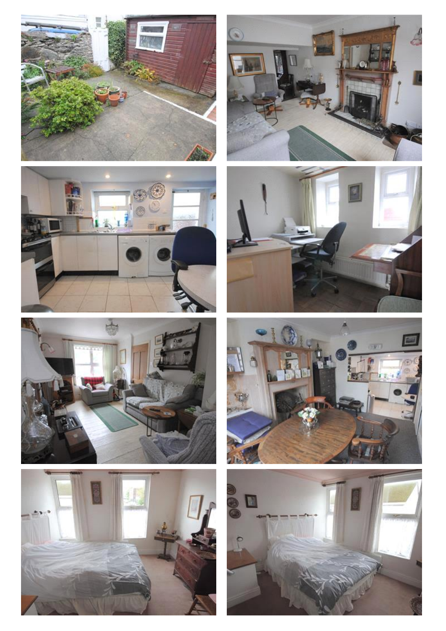